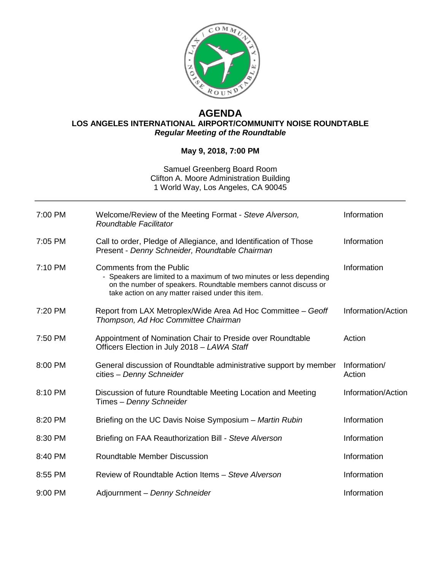

## **AGENDA LOS ANGELES INTERNATIONAL AIRPORT/COMMUNITY NOISE ROUNDTABLE** *Regular Meeting of the Roundtable*

## **May 9, 2018, 7:00 PM**

## Samuel Greenberg Board Room Clifton A. Moore Administration Building 1 World Way, Los Angeles, CA 90045

| 7:00 PM | Welcome/Review of the Meeting Format - Steve Alverson,<br>Roundtable Facilitator                                                                                                                                                | Information            |
|---------|---------------------------------------------------------------------------------------------------------------------------------------------------------------------------------------------------------------------------------|------------------------|
| 7:05 PM | Call to order, Pledge of Allegiance, and Identification of Those<br>Present - Denny Schneider, Roundtable Chairman                                                                                                              | Information            |
| 7:10 PM | <b>Comments from the Public</b><br>- Speakers are limited to a maximum of two minutes or less depending<br>on the number of speakers. Roundtable members cannot discuss or<br>take action on any matter raised under this item. | Information            |
| 7:20 PM | Report from LAX Metroplex/Wide Area Ad Hoc Committee - Geoff<br>Thompson, Ad Hoc Committee Chairman                                                                                                                             | Information/Action     |
| 7:50 PM | Appointment of Nomination Chair to Preside over Roundtable<br>Officers Election in July 2018 - LAWA Staff                                                                                                                       | Action                 |
| 8:00 PM | General discussion of Roundtable administrative support by member<br>cities - Denny Schneider                                                                                                                                   | Information/<br>Action |
| 8:10 PM | Discussion of future Roundtable Meeting Location and Meeting<br>Times - Denny Schneider                                                                                                                                         | Information/Action     |
| 8:20 PM | Briefing on the UC Davis Noise Symposium - Martin Rubin                                                                                                                                                                         | Information            |
| 8:30 PM | Briefing on FAA Reauthorization Bill - Steve Alverson                                                                                                                                                                           | Information            |
| 8:40 PM | <b>Roundtable Member Discussion</b>                                                                                                                                                                                             | Information            |
| 8:55 PM | Review of Roundtable Action Items - Steve Alverson                                                                                                                                                                              | Information            |
| 9:00 PM | Adjournment - Denny Schneider                                                                                                                                                                                                   | Information            |